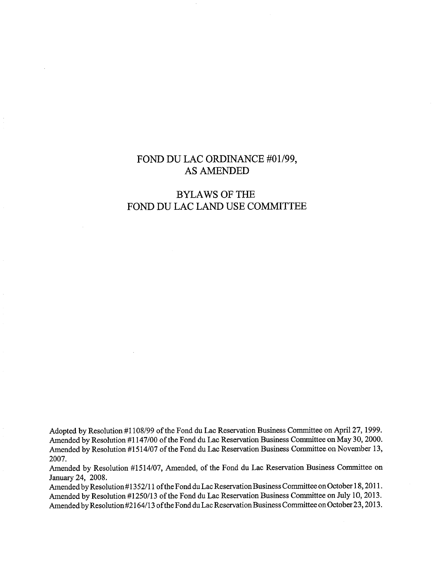## FOND DU LAC ORDINANCE #01/99, AS AMENDED

# BYLAWS OF THE FOND DU LAC LAND USE COMMITTEE

Adopted by Resolution #1108/99 of the Fond du Lac Reservation Business Committee on April 27, 1999. Amended by Resolution #1147/00 of the Fond du Lac Reservation Business Committee on May 30, 2000. Amended by Resolution #1514/07 of the Fond du Lac Reservation Business Committee on November 13, 2007.

Amended by Resolution #1514/07, Amended, of the Fond du Lac Reservation Business Committee on January 24, 2008.

Amended by Resolution #1352/11 of the Fond du Lac Reservation Business Committee on October 18, 2011. Amended by Resolution #1250/13 of the Fond du Lac Reservation Business Committee on July 10, 2013. Amended by Resolution #2164/13 of the Fond du Lac Reservation Business Committee on October 23, 2013.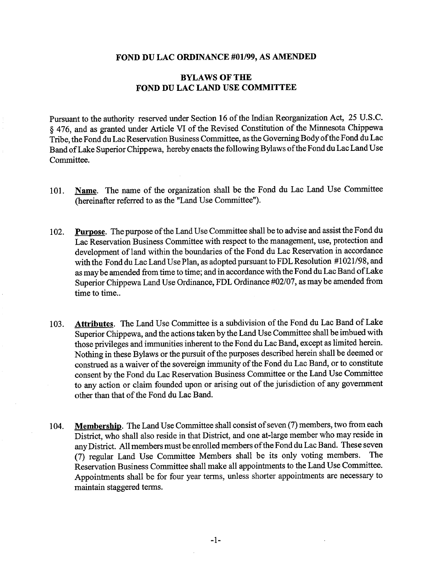#### **FOND DU LAC ORDINANCE #01/99, AS AMENDED**

### **BYLAWS OF THE FOND DU LAC LAND USE COMMITTEE**

Pursuant to the authority reserved under Section 16 of the Indian Reorganization Act, 25 U.S.C. § 476, and as granted under Article VI of the Revised Constitution of the Minnesota Chippewa Tribe, the Fond du Lac Reservation Business Committee, as the Governing Body of the Fond du Lac Band of Lake Superior Chippewa, hereby enacts the following Bylaws of the Fond du Lac Land Use Committee.

- **101. Name.** The name of the organization shall be the Fond du Lac Land Use Committee (hereinafter referred to as the "Land Use Committee").
- **102. Purpose.** The purpose of the Land Use Committee shall be to advise and assist the Fond du Lac Reservation Business Committee with respect to the management, use, protection and development of land within the boundaries of the Fond du Lac Reservation in accordance with the Fond du Lac Land Use Plan, as adopted pursuant to FDL Resolution #1021/98, and as may be amended from time to time; and in accordance with the Fond du Lac Band of Lake Superior Chippewa Land Use Ordinance, FDL Ordinance #02/07, as may be amended from time to time..
- **103. Attributes.** The Land Use Committee is a subdivision of the Fond du Lac Band of Lake Superior Chippewa, and the actions taken by the Land Use Committee shall be imbued with those privileges and immunities inherent to the Fond du Lac Band, except as limited herein. Nothing in these Bylaws or the pursuit of the purposes described herein shall be deemed or construed as a waiver of the sovereign immunity of the Fond du Lac Band, or to constitute consent by the Fond du Lac Reservation Business Committee or the Land Use Committee to any action or claim founded upon or arising out of the jurisdiction of any government other than that of the Fond du Lac Band.
- **104. Membership.** The Land Use Committee shall consist of seven (7) members, two from each District, who shall also reside in that District, and one at-large member who may reside in any District. All members must be enrolled members of the Fond du Lac Band. These seven (7) regular Land Use Committee Members shall be its only voting members. The Reservation Business Committee shall make all appointments to the Land Use Committee. Appointments shall be for four year terms, unless shorter appointments are necessary to maintain staggered terms.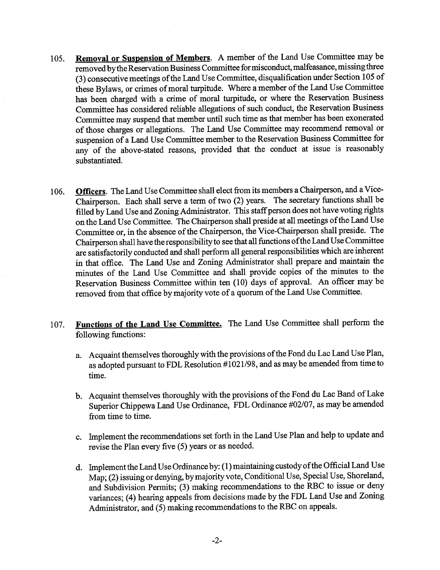- **105. Removal or Suspension of Members.** A member of the Land Use Committee may be removed by the Reservation Business Committee for misconduct, malfeasance, missing three (3) consecutive meetings of the Land Use Committee, disqualification under Section 105 of these Bylaws, or crimes of moral turpitude. Where a member of the Land Use Committee has been charged with a crime of moral turpitude, or where the Reservation Business Committee has considered reliable allegations of such conduct, the Reservation Business Committee may suspend that member until such time as that member has been exonerated of those charges or allegations. The Land Use Committee may recommend removal or suspension of a Land Use Committee member to the Reservation Business Committee for any of the above-stated reasons, provided that the conduct at issue is reasonably substantiated.
- **106. Officers.** The Land Use Committee shall elect from its members a Chairperson, and a Vice-Chairperson. Each shall serve a term of two (2) years. The secretary functions shall be filled by Land Use and Zoning Administrator. This staff person does not have voting rights on the Land Use Committee. The Chairperson shall preside at all meetings of the Land Use Committee or, in the absence of the Chairperson, the Vice-Chairperson shall preside. The Chairperson shall have the responsibility to see that all functions of the Land Use Committee are satisfactorily conducted and shall perform all general responsibilities which are inherent in that office. The Land Use and Zoning Administrator shall prepare and maintain the minutes of the Land Use Committee and shall provide copies of the minutes to the Reservation Business Committee within ten (10) days of approval. An officer may be removed from that office by majority vote of a quorum of the Land Use Committee.
- **107. Functions of the Land Use Committee.** The Land Use Committee shall perform the following functions:
	- a. Acquaint themselves thoroughly with the provisions of the Fond du Lac Land Use Plan, as adopted pursuant to FDL Resolution #1021/98, and as may be amended from time to time.
	- b. Acquaint themselves thoroughly with the provisions of the Fond du Lac Band of Lake Superior Chippewa Land Use Ordinance, FDL Ordinance #02/07, as may be amended from time to time.
	- c. Implement the recommendations set forth in the Land Use Plan and help to update and revise the Plan every five (5) years or as needed.
	- d. Implement the Land Use Ordinance by: (1) maintaining custody of the Official Land Use Map; (2) issuing or denying, by majority vote, Conditional Use, Special Use, Shoreland, and Subdivision Permits; (3) making recommendations to the RBC to issue or deny variances; (4) hearing appeals from decisions made by the FDL Land Use and Zoning Administrator, and (5) making recommendations to the RBC on appeals.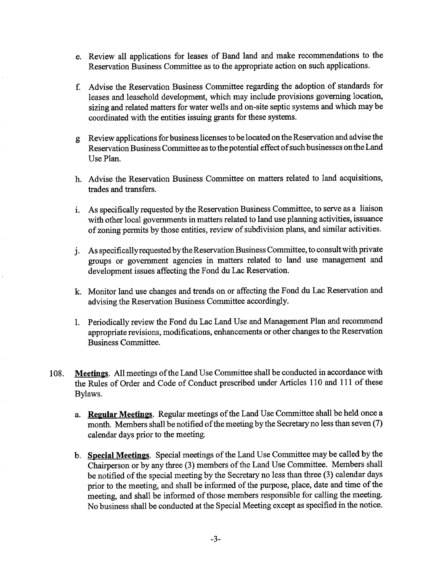- e. Review all applications for leases of Band land and make recommendations to the Reservation Business Committee as to the appropriate action on such applications.
- f. Advise the Reservation Business Committee regarding the adoption of standards for leases and leasehold development, which may include provisions governing location, sizing and related matters for water wells and on-site septic systems and which may be coordinated with the entities issuing grants for these systems.
- g Review applications for business licenses to be located on the Reservation and advise the Reservation Business Committee as to the potential effect of such businesses on the Land Use Plan.
- h. Advise the Reservation Business Committee on matters related to land acquisitions, trades and transfers.
- i. As specifically requested by the Reservation Business Committee, to serve as a liaison with other local governments in matters related to land use planning activities, issuance of zoning permits by those entities, review of subdivision plans, and similar activities.
- As specifically requested by the Reservation Business Committee, to consult with private groups or government agencies in matters related to land use management and development issues affecting the Fond du Lac Reservation.
- **k.** Monitor land use changes and trends on or affecting the Fond du Lac Reservation and advising the Reservation Business Committee accordingly.
- 1. Periodically review the Fond du Lac Land Use and Management Plan and recommend appropriate revisions, modifications, enhancements or other changes to the Reservation Business Committee.
- 108. **Meetings.** All meetings of the Land Use Committee shall be conducted in accordance with the Rules of Order and Code of Conduct prescribed under Articles 110 and 111 of these Bylaws.
	- **a. Regular Meetings.** Regular meetings of the Land Use Committee shall be held once a month. Members shall be notified of the meeting by the Secretary no less than seven (7) calendar days prior to the meeting.
	- **b. Special Meetings.** Special meetings of the Land Use Committee may be called by the Chairperson or by any three (3) members of the Land Use Committee. Members shall be notified of the special meeting by the Secretary no less than three (3) calendar days prior to the meeting, and shall be informed of the purpose, place, date and time of the meeting, and shall be informed of those members responsible for calling the meeting. No business shall be conducted at the Special Meeting except as specified in the notice.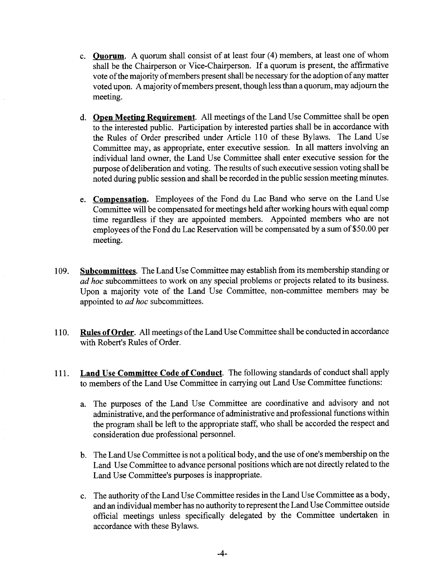- **c. Ouorum.** A quorum shall consist of at least four (4) members, at least one of whom shall be the Chairperson or Vice-Chairperson. If a quorum is present, the affirmative vote of the majority of members present shall be necessary for the adoption of any matter voted upon. A majority of members present, though less than a quorum, may adjourn the meeting.
- **d. Open Meeting Requirement.** All meetings of the Land Use Committee shall be open to the interested public. Participation by interested parties shall be in accordance with the Rules of Order prescribed under Article 110 of these Bylaws. The Land Use Committee may, as appropriate, enter executive session. In all matters involving an individual land owner, the Land Use Committee shall enter executive session for the purpose of deliberation and voting. The results of such executive session voting shall be noted during public session and shall be recorded in the public session meeting minutes.
- **e. Compensation.** Employees of the Fond du Lac Band who serve on the Land Use Committee will be compensated for meetings held after working hours with equal comp time regardless if they are appointed members. Appointed members who are not employees of the Fond du Lac Reservation will be compensated by a sum of \$50.00 per meeting.
- **109. Subcommittees.** The Land Use Committee may establish from its membership standing or *ad hoc* subcommittees to work on any special problems or projects related to its business. Upon a majority vote of the Land Use Committee, non-committee members may be appointed to *ad hoc* subcommittees.
- **110. Rules of Order.** All meetings of the Land Use Committee shall be conducted in accordance with Robert's Rules of Order.
- **111. Land Use Committee Code of Conduct.** The following standards of conduct shall apply to members of the Land Use Committee in carrying out Land Use Committee functions:
	- a. The purposes of the Land Use Committee are coordinative and advisory and not administrative, and the performance of administrative and professional functions within the program shall be left to the appropriate staff, who shall be accorded the respect and consideration due professional personnel.
	- b. The Land Use Committee is not apolitical body, and the use of one's membership on the Land Use Committee to advance personal positions which are not directly related to the Land Use Committee's purposes is inappropriate.
	- c. The authority of the Land Use Committee resides in the Land Use Committee as a body, and an individual member has no authority to represent the Land Use Committee outside official meetings unless specifically delegated by the Committee undertaken in accordance with these Bylaws.